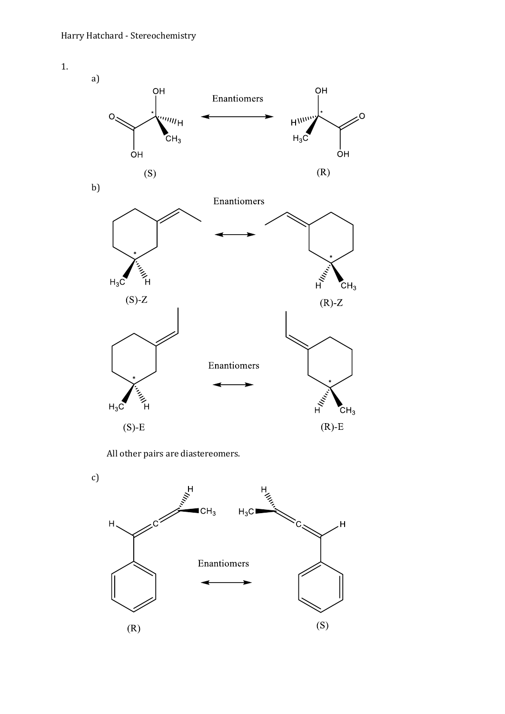1.

a) **OH**  $O<sub>H</sub>$ Enantiomers """H  $H^{\text{WW}}$  $O<sub>2</sub>$  $H_3C$  $C_{\text{H}_3}$  $\overline{O}$ H ÒΗ  $(R)$  $(S)$ b) Enantiomers للمجمع المستعمل  $E_{N_{\rm t}}$  $H_3C$  $CH<sub>3</sub>$  $(S)$ -Z  $(R)-Z$ Enantiomers Transportant<br>H  $\mathbb{E}_{\mathcal{U}_{\mathcal{U}_{\mathcal{U}_{\mathcal{U}_{\mathcal{U}}}}}}$  $H_3C$  $CH<sub>3</sub>$ 

Ō.

 $(R)$ -E

 $(S)-E$ 

All other pairs are diastereomers.

c)

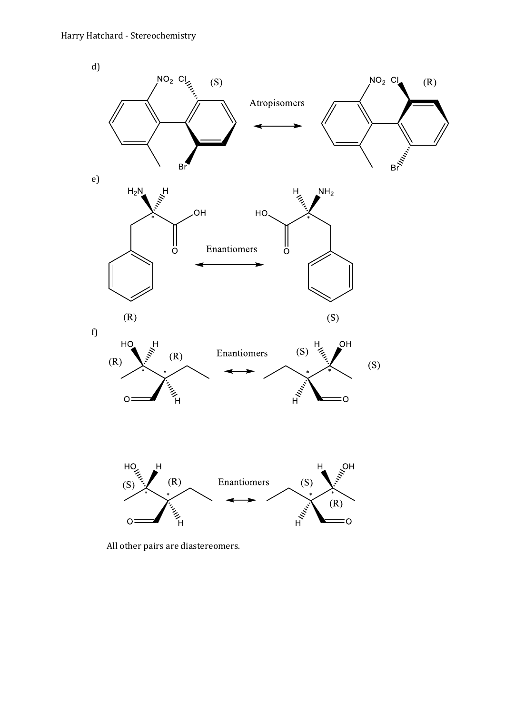

All other pairs are diastereomers.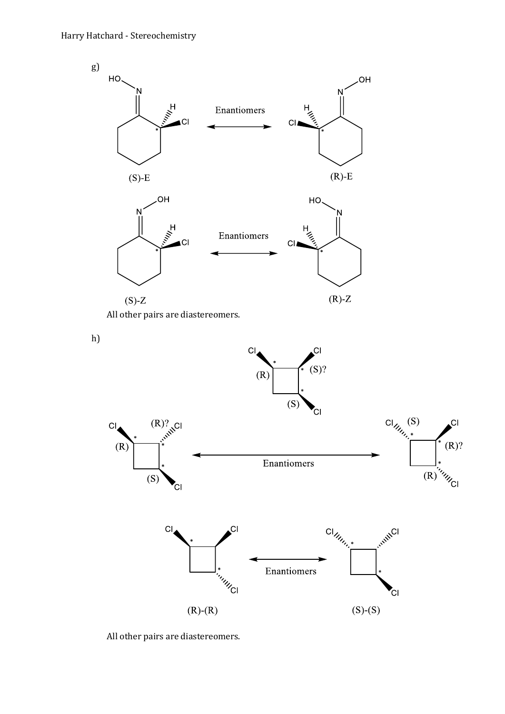

All other pairs are diastereomers.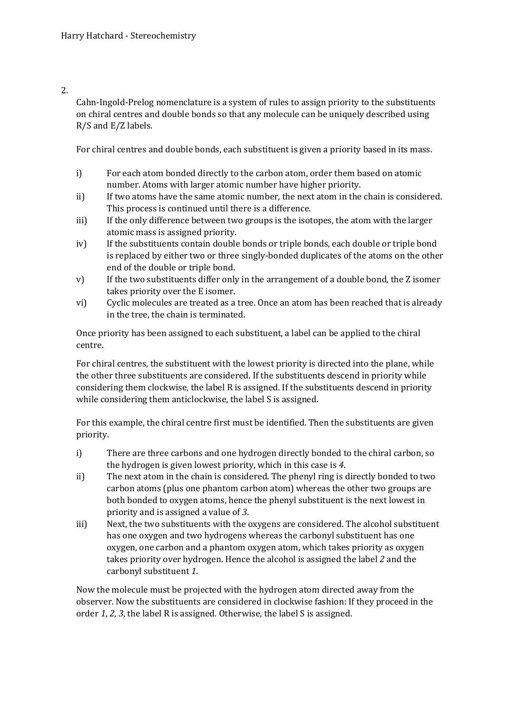## 2.

Cahn-Ingold-Prelog nomenclature is a system of rules to assign priority to the substituents on chiral centres and double bonds so that any molecule can be uniquely described using R/S and E/Z labels.

For chiral centres and double bonds, each substituent is given a priority based in its mass.

- i) For each atom bonded directly to the carbon atom, order them based on atomic number. Atoms with larger atomic number have higher priority.
- ii) If two atoms have the same atomic number, the next atom in the chain is considered. This process is continued until there is a difference.
- iii) If the only difference between two groups is the isotopes, the atom with the larger atomic mass is assigned priority.
- iv) If the substituents contain double bonds or triple bonds, each double or triple bond is replaced by either two or three singly-bonded duplicates of the atoms on the other end of the double or triple bond.
- v) If the two substituents differ only in the arrangement of a double bond, the Z isomer takes priority over the E isomer.
- vi) Cyclic molecules are treated as a tree. Once an atom has been reached that is already in the tree, the chain is terminated.

Once priority has been assigned to each substituent, a label can be applied to the chiral centre.

For chiral centres, the substituent with the lowest priority is directed into the plane, while the other three substituents are considered. If the substituents descend in priority while considering them clockwise, the label R is assigned. If the substituents descend in priority while considering them anticlockwise, the label S is assigned.

For this example, the chiral centre first must be identified. Then the substituents are given priority.

- i) There are three carbons and one hydrogen directly bonded to the chiral carbon, so the hydrogen is given lowest priority, which in this case is *4*.
- ii) The next atom in the chain is considered. The phenyl ring is directly bonded to two carbon atoms (plus one phantom carbon atom) whereas the other two groups are both bonded to oxygen atoms, hence the phenyl substituent is the next lowest in priority and is assigned a value of *3*.
- iii) Next, the two substituents with the oxygens are considered. The alcohol substituent has one oxygen and two hydrogens whereas the carbonyl substituent has one oxygen, one carbon and a phantom oxygen atom, which takes priority as oxygen takes priority over hydrogen. Hence the alcohol is assigned the label *2* and the carbonyl substituent *1*.

Now the molecule must be projected with the hydrogen atom directed away from the observer. Now the substituents are considered in clockwise fashion: If they proceed in the order *1*, *2*, *3*, the label R is assigned. Otherwise, the label S is assigned.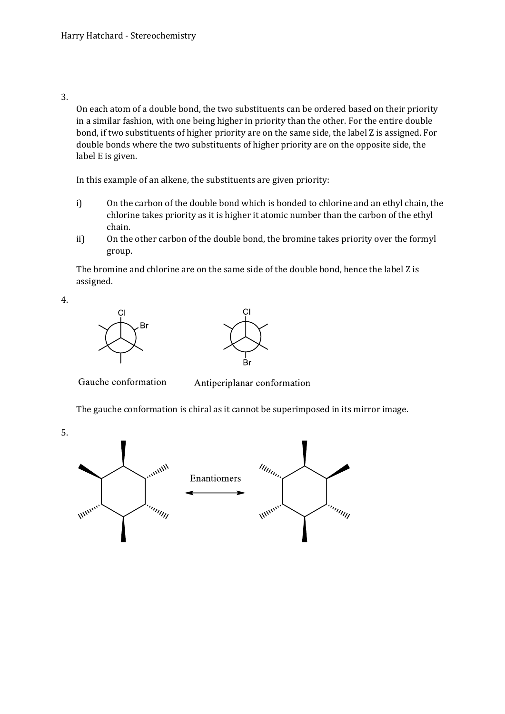3.

On each atom of a double bond, the two substituents can be ordered based on their priority in a similar fashion, with one being higher in priority than the other. For the entire double bond, if two substituents of higher priority are on the same side, the label Z is assigned. For double bonds where the two substituents of higher priority are on the opposite side, the label E is given.

In this example of an alkene, the substituents are given priority:

- i) On the carbon of the double bond which is bonded to chlorine and an ethyl chain, the chlorine takes priority as it is higher it atomic number than the carbon of the ethyl chain.
- ii) On the other carbon of the double bond, the bromine takes priority over the formyl group.

The bromine and chlorine are on the same side of the double bond, hence the label Z is assigned.

4.





Gauche conformation

Antiperiplanar conformation

The gauche conformation is chiral as it cannot be superimposed in its mirror image.

5.

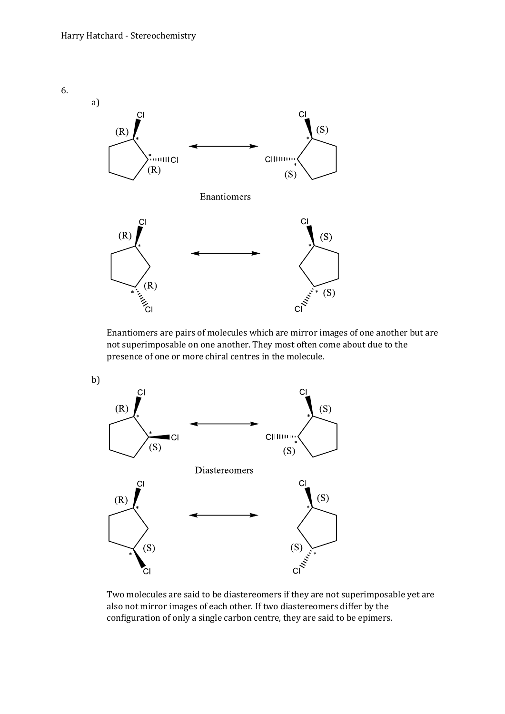

Enantiomers are pairs of molecules which are mirror images of one another but are not superimposable on one another. They most often come about due to the presence of one or more chiral centres in the molecule.



Two molecules are said to be diastereomers if they are not superimposable yet are also not mirror images of each other. If two diastereomers differ by the configuration of only a single carbon centre, they are said to be epimers.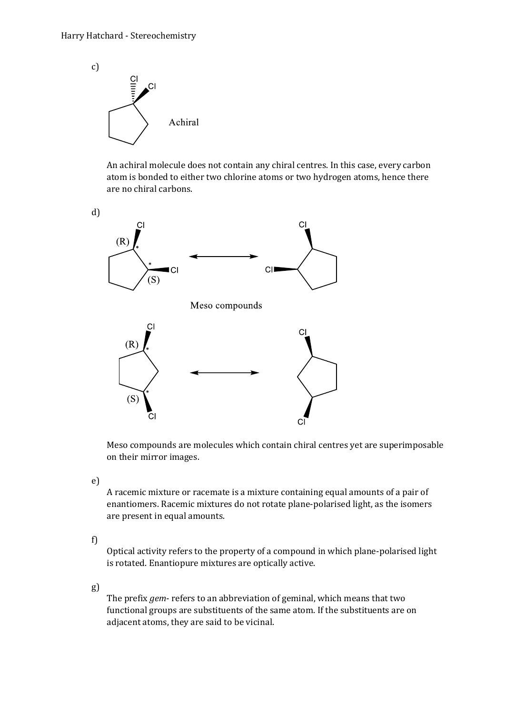

An achiral molecule does not contain any chiral centres. In this case, every carbon atom is bonded to either two chlorine atoms or two hydrogen atoms, hence there are no chiral carbons.



Meso compounds are molecules which contain chiral centres yet are superimposable on their mirror images.

e)

A racemic mixture or racemate is a mixture containing equal amounts of a pair of enantiomers. Racemic mixtures do not rotate plane-polarised light, as the isomers are present in equal amounts.

f)

Optical activity refers to the property of a compound in which plane-polarised light is rotated. Enantiopure mixtures are optically active.

g)

The prefix *gem*- refers to an abbreviation of geminal, which means that two functional groups are substituents of the same atom. If the substituents are on adjacent atoms, they are said to be vicinal.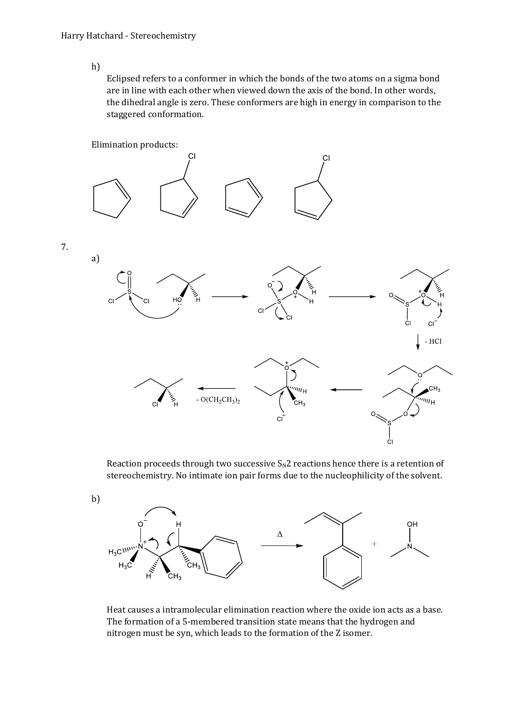h)

Eclipsed refers to a conformer in which the bonds of the two atoms on a sigma bond are in line with each other when viewed down the axis of the bond. In other words, the dihedral angle is zero. These conformers are high in energy in comparison to the staggered conformation.



Reaction proceeds through two successive  $S_N2$  reactions hence there is a retention of stereochemistry. No intimate ion pair forms due to the nucleophilicity of the solvent.



Heat causes a intramolecular elimination reaction where the oxide ion acts as a base. The formation of a 5-membered transition state means that the hydrogen and nitrogen must be syn, which leads to the formation of the Z isomer.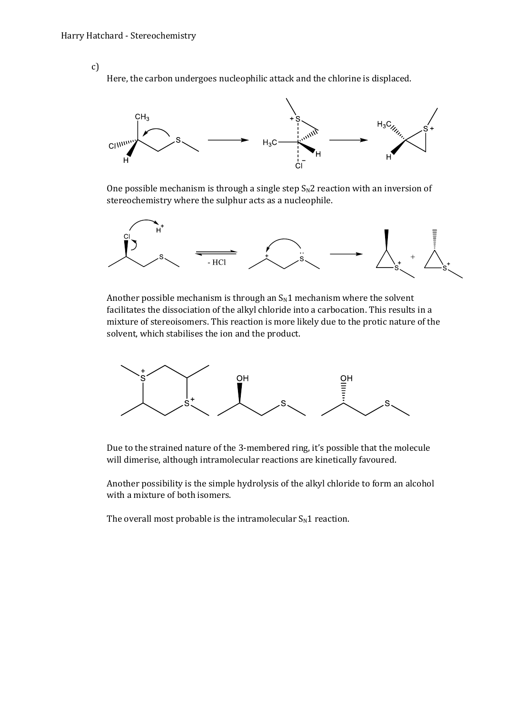c)

Here, the carbon undergoes nucleophilic attack and the chlorine is displaced.



One possible mechanism is through a single step  $S_N2$  reaction with an inversion of stereochemistry where the sulphur acts as a nucleophile.



Another possible mechanism is through an  $S_N1$  mechanism where the solvent facilitates the dissociation of the alkyl chloride into a carbocation. This results in a mixture of stereoisomers. This reaction is more likely due to the protic nature of the solvent, which stabilises the ion and the product.



Due to the strained nature of the 3-membered ring, it's possible that the molecule will dimerise, although intramolecular reactions are kinetically favoured.

Another possibility is the simple hydrolysis of the alkyl chloride to form an alcohol with a mixture of both isomers.

The overall most probable is the intramolecular  $S_N1$  reaction.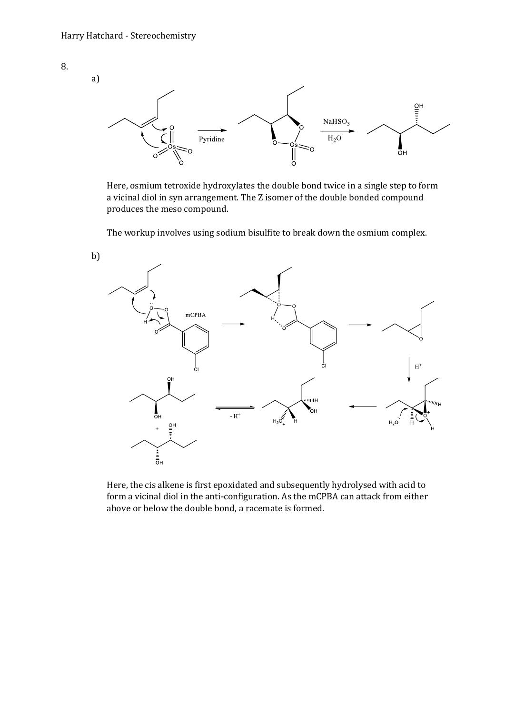

Here, osmium tetroxide hydroxylates the double bond twice in a single step to form a vicinal diol in syn arrangement. The Z isomer of the double bonded compound produces the meso compound.

The workup involves using sodium bisulfite to break down the osmium complex.



Here, the cis alkene is first epoxidated and subsequently hydrolysed with acid to form a vicinal diol in the anti-configuration. As the mCPBA can attack from either above or below the double bond, a racemate is formed.

8.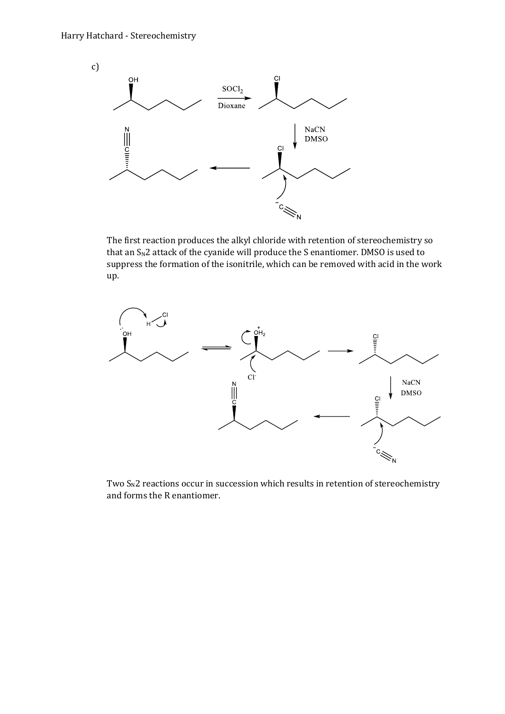

The first reaction produces the alkyl chloride with retention of stereochemistry so that an  $S_N$ 2 attack of the cyanide will produce the S enantiomer. DMSO is used to suppress the formation of the isonitrile, which can be removed with acid in the work up.



Two  $S_N$ 2 reactions occur in succession which results in retention of stereochemistry and forms the R enantiomer.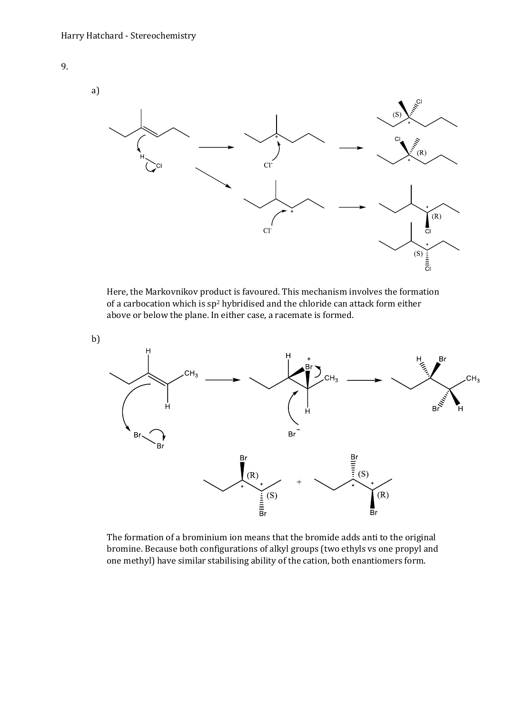



Here, the Markovnikov product is favoured. This mechanism involves the formation of a carbocation which is sp<sup>2</sup> hybridised and the chloride can attack form either above or below the plane. In either case, a racemate is formed.



The formation of a brominium ion means that the bromide adds anti to the original bromine. Because both configurations of alkyl groups (two ethyls vs one propyl and one methyl) have similar stabilising ability of the cation, both enantiomers form.

b)